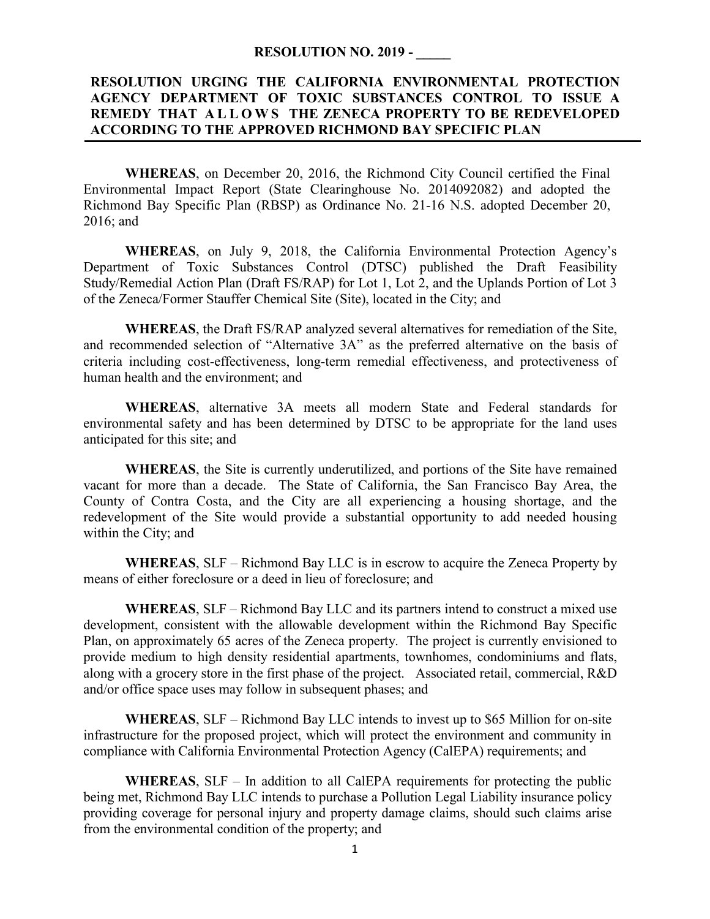## **RESOLUTION NO. 2019 - \_\_\_\_\_**

## **RESOLUTION URGING THE CALIFORNIA ENVIRONMENTAL PROTECTION AGENCY DEPARTMENT OF TOXIC SUBSTANCES CONTROL TO ISSUE A REMEDY THAT A L L O W S THE ZENECA PROPERTY TO BE REDEVELOPED ACCORDING TO THE APPROVED RICHMOND BAY SPECIFIC PLAN**

**WHEREAS**, on December 20, 2016, the Richmond City Council certified the Final Environmental Impact Report (State Clearinghouse No. 2014092082) and adopted the Richmond Bay Specific Plan (RBSP) as Ordinance No. 21-16 N.S. adopted December 20, 2016; and

**WHEREAS**, on July 9, 2018, the California Environmental Protection Agency's Department of Toxic Substances Control (DTSC) published the Draft Feasibility Study/Remedial Action Plan (Draft FS/RAP) for Lot 1, Lot 2, and the Uplands Portion of Lot 3 of the Zeneca/Former Stauffer Chemical Site (Site), located in the City; and

**WHEREAS**, the Draft FS/RAP analyzed several alternatives for remediation of the Site, and recommended selection of "Alternative 3A" as the preferred alternative on the basis of criteria including cost-effectiveness, long-term remedial effectiveness, and protectiveness of human health and the environment; and

**WHEREAS**, alternative 3A meets all modern State and Federal standards for environmental safety and has been determined by DTSC to be appropriate for the land uses anticipated for this site; and

**WHEREAS**, the Site is currently underutilized, and portions of the Site have remained vacant for more than a decade. The State of California, the San Francisco Bay Area, the County of Contra Costa, and the City are all experiencing a housing shortage, and the redevelopment of the Site would provide a substantial opportunity to add needed housing within the City; and

**WHEREAS**, SLF – Richmond Bay LLC is in escrow to acquire the Zeneca Property by means of either foreclosure or a deed in lieu of foreclosure; and

**WHEREAS**, SLF – Richmond Bay LLC and its partners intend to construct a mixed use development, consistent with the allowable development within the Richmond Bay Specific Plan, on approximately 65 acres of the Zeneca property. The project is currently envisioned to provide medium to high density residential apartments, townhomes, condominiums and flats, along with a grocery store in the first phase of the project. Associated retail, commercial, R&D and/or office space uses may follow in subsequent phases; and

**WHEREAS**, SLF – Richmond Bay LLC intends to invest up to \$65 Million for on-site infrastructure for the proposed project, which will protect the environment and community in compliance with California Environmental Protection Agency (CalEPA) requirements; and

**WHEREAS**, SLF – In addition to all CalEPA requirements for protecting the public being met, Richmond Bay LLC intends to purchase a Pollution Legal Liability insurance policy providing coverage for personal injury and property damage claims, should such claims arise from the environmental condition of the property; and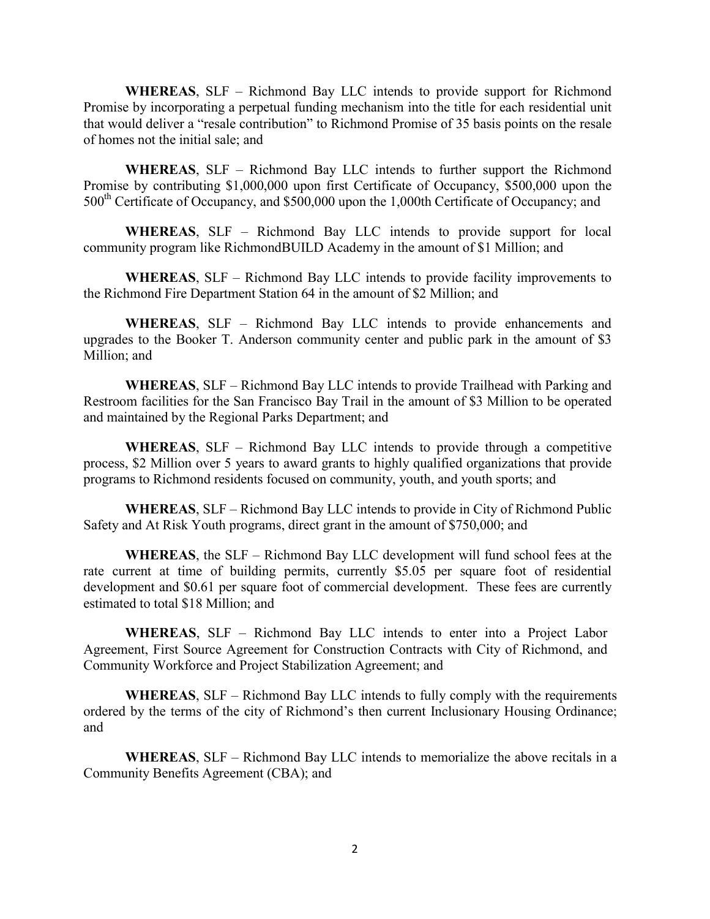**WHEREAS**, SLF – Richmond Bay LLC intends to provide support for Richmond Promise by incorporating a perpetual funding mechanism into the title for each residential unit that would deliver a "resale contribution" to Richmond Promise of 35 basis points on the resale of homes not the initial sale; and

**WHEREAS**, SLF – Richmond Bay LLC intends to further support the Richmond Promise by contributing \$1,000,000 upon first Certificate of Occupancy, \$500,000 upon the 500<sup>th</sup> Certificate of Occupancy, and \$500,000 upon the 1,000th Certificate of Occupancy; and

**WHEREAS**, SLF – Richmond Bay LLC intends to provide support for local community program like RichmondBUILD Academy in the amount of \$1 Million; and

**WHEREAS**, SLF – Richmond Bay LLC intends to provide facility improvements to the Richmond Fire Department Station 64 in the amount of \$2 Million; and

**WHEREAS**, SLF – Richmond Bay LLC intends to provide enhancements and upgrades to the Booker T. Anderson community center and public park in the amount of \$3 Million; and

**WHEREAS**, SLF – Richmond Bay LLC intends to provide Trailhead with Parking and Restroom facilities for the San Francisco Bay Trail in the amount of \$3 Million to be operated and maintained by the Regional Parks Department; and

**WHEREAS**, SLF – Richmond Bay LLC intends to provide through a competitive process, \$2 Million over 5 years to award grants to highly qualified organizations that provide programs to Richmond residents focused on community, youth, and youth sports; and

**WHEREAS**, SLF – Richmond Bay LLC intends to provide in City of Richmond Public Safety and At Risk Youth programs, direct grant in the amount of \$750,000; and

**WHEREAS**, the SLF – Richmond Bay LLC development will fund school fees at the rate current at time of building permits, currently \$5.05 per square foot of residential development and \$0.61 per square foot of commercial development. These fees are currently estimated to total \$18 Million; and

**WHEREAS**, SLF – Richmond Bay LLC intends to enter into a Project Labor Agreement, First Source Agreement for Construction Contracts with City of Richmond, and Community Workforce and Project Stabilization Agreement; and

**WHEREAS**, SLF – Richmond Bay LLC intends to fully comply with the requirements ordered by the terms of the city of Richmond's then current Inclusionary Housing Ordinance; and

**WHEREAS**, SLF – Richmond Bay LLC intends to memorialize the above recitals in a Community Benefits Agreement (CBA); and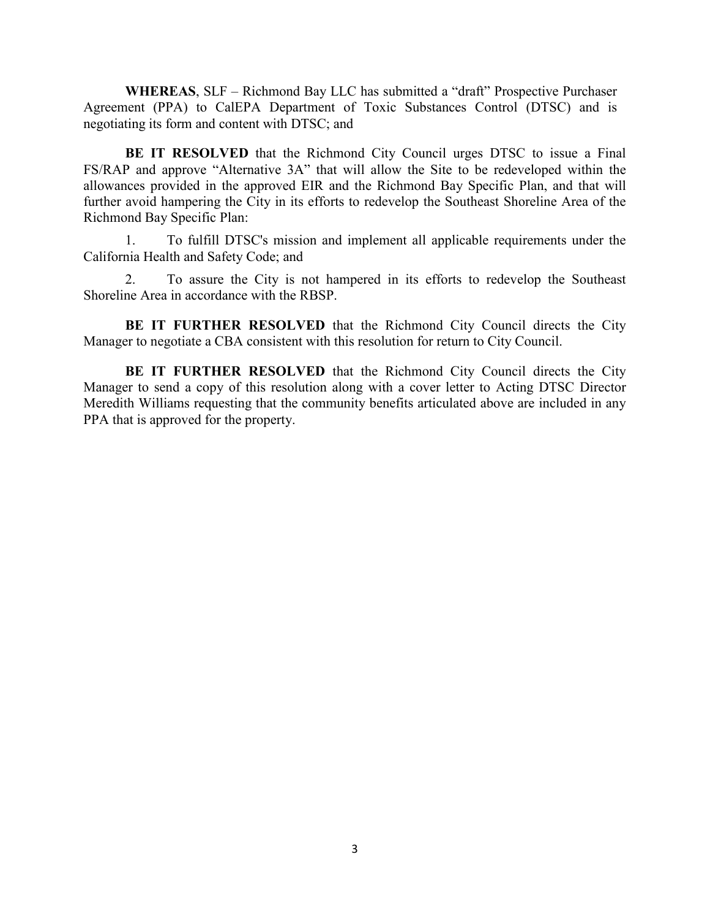**WHEREAS**, SLF – Richmond Bay LLC has submitted a "draft" Prospective Purchaser Agreement (PPA) to CalEPA Department of Toxic Substances Control (DTSC) and is negotiating its form and content with DTSC; and

**BE IT RESOLVED** that the Richmond City Council urges DTSC to issue a Final FS/RAP and approve "Alternative 3A" that will allow the Site to be redeveloped within the allowances provided in the approved EIR and the Richmond Bay Specific Plan, and that will further avoid hampering the City in its efforts to redevelop the Southeast Shoreline Area of the Richmond Bay Specific Plan:

1. To fulfill DTSC's mission and implement all applicable requirements under the California Health and Safety Code; and

2. To assure the City is not hampered in its efforts to redevelop the Southeast Shoreline Area in accordance with the RBSP.

**BE IT FURTHER RESOLVED** that the Richmond City Council directs the City Manager to negotiate a CBA consistent with this resolution for return to City Council.

**BE IT FURTHER RESOLVED** that the Richmond City Council directs the City Manager to send a copy of this resolution along with a cover letter to Acting DTSC Director Meredith Williams requesting that the community benefits articulated above are included in any PPA that is approved for the property.